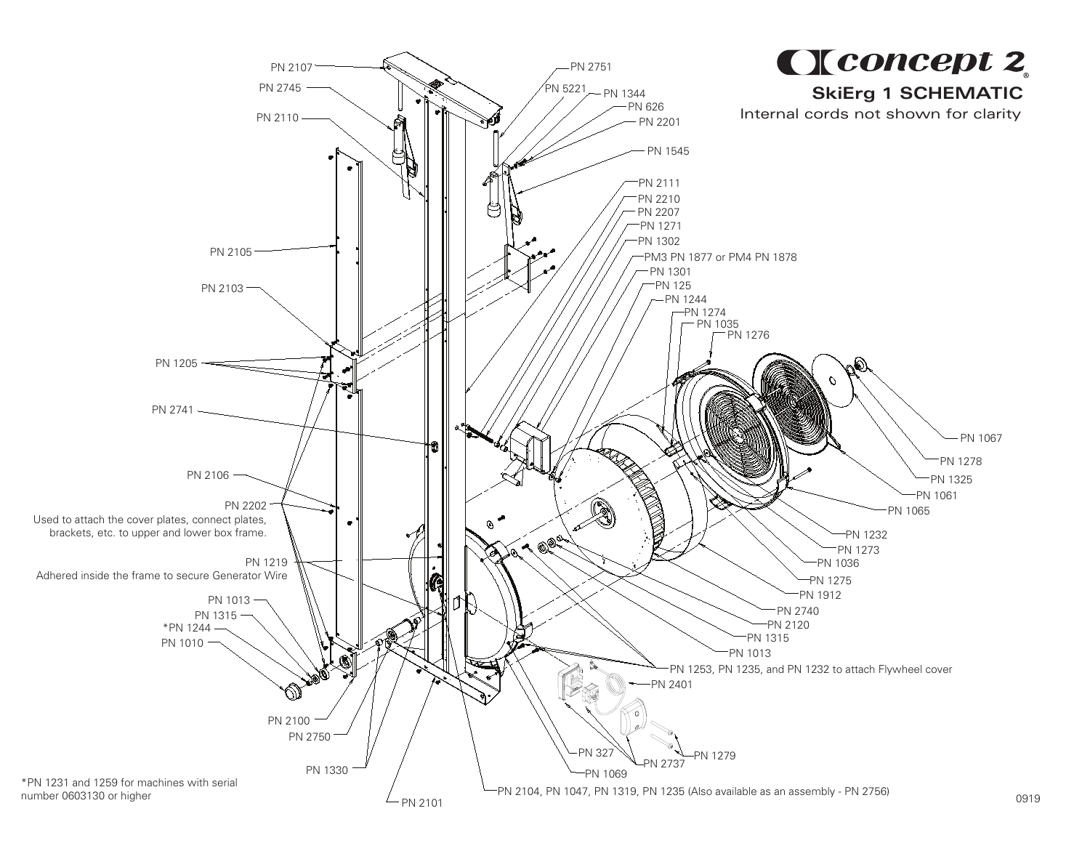